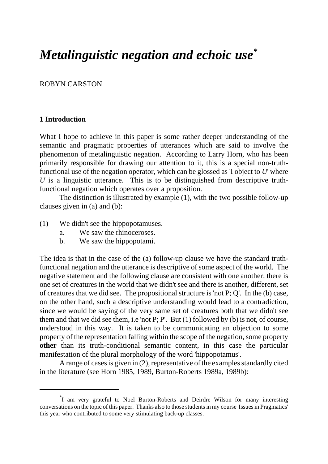# *Metalinguistic negation and echoic use\**

#### ROBYN CARSTON

## **1 Introduction**

What I hope to achieve in this paper is some rather deeper understanding of the semantic and pragmatic properties of utterances which are said to involve the phenomenon of metalinguistic negation. According to Larry Horn, who has been primarily responsible for drawing our attention to it, this is a special non-truthfunctional use of the negation operator, which can be glossed as 'I object to *U*' where *U* is a linguistic utterance. This is to be distinguished from descriptive truthfunctional negation which operates over a proposition.

The distinction is illustrated by example (1), with the two possible follow-up clauses given in (a) and (b):

- (1) We didn't see the hippopotamuses.
	- a. We saw the rhinoceroses.
	- b. We saw the hippopotami.

The idea is that in the case of the (a) follow-up clause we have the standard truthfunctional negation and the utterance is descriptive of some aspect of the world. The negative statement and the following clause are consistent with one another: there is one set of creatures in the world that we didn't see and there is another, different, set of creatures that we did see. The propositional structure is 'not P; Q'. In the (b) case, on the other hand, such a descriptive understanding would lead to a contradiction, since we would be saying of the very same set of creatures both that we didn't see them and that we did see them, i.e 'not P; P'. But (1) followed by (b) is not, of course, understood in this way. It is taken to be communicating an objection to some property of the representation falling within the scope of the negation, some property **other** than its truth-conditional semantic content, in this case the particular manifestation of the plural morphology of the word 'hippopotamus'.

A range of cases is given in (2), representative of the examples standardly cited in the literature (see Horn 1985, 1989, Burton-Roberts 1989a, 1989b):

<sup>\*</sup> I am very grateful to Noel Burton-Roberts and Deirdre Wilson for many interesting conversations on the topic of this paper. Thanks also to those students in my course 'Issues in Pragmatics' this year who contributed to some very stimulating back-up classes.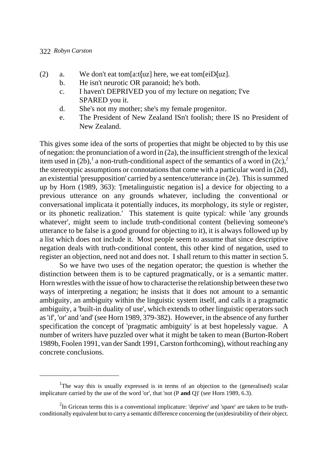- (2) a. We don't eat tom[a:t{uz] here, we eat tom[eiD{uz].
	- b. He isn't neurotic OR paranoid; he's both.
	- c. I haven't DEPRIVED you of my lecture on negation; I've SPARED you it.
	- d. She's not my mother; she's my female progenitor.
	- e. The President of New Zealand ISn't foolish; there IS no President of New Zealand.

This gives some idea of the sorts of properties that might be objected to by this use of negation: the pronunciation of a word in (2a), the insufficient strength of the lexical item used in (2b),<sup>1</sup> a non-truth-conditional aspect of the semantics of a word in (2c),<sup>2</sup> the stereotypic assumptions or connotations that come with a particular word in (2d), an existential 'presupposition' carried by a sentence/utterance in (2e). This is summed up by Horn (1989, 363): '[metalinguistic negation is] a device for objecting to a previous utterance on any grounds whatever, including the conventional or conversational implicata it potentially induces, its morphology, its style or register, or its phonetic realization.' This statement is quite typical: while 'any grounds whatever', might seem to include truth-conditional content (believing someone's utterance to be false is a good ground for objecting to it), it is always followed up by a list which does not include it. Most people seem to assume that since descriptive negation deals with truth-conditional content, this other kind of negation, used to register an objection, need not and does not. I shall return to this matter in section 5.

So we have two uses of the negation operator; the question is whether the distinction between them is to be captured pragmatically, or is a semantic matter. Horn wrestles with the issue of how to characterise the relationship between these two ways of interpreting a negation; he insists that it does not amount to a semantic ambiguity, an ambiguity within the linguistic system itself, and calls it a pragmatic ambiguity, a 'built-in duality of use', which extends to other linguistic operators such as 'if', 'or' and 'and' (see Horn 1989, 379-382). However, in the absence of any further specification the concept of 'pragmatic ambiguity' is at best hopelessly vague. A number of writers have puzzled over what it might be taken to mean (Burton-Robert 1989b, Foolen 1991, van der Sandt 1991, Carston forthcoming), without reaching any concrete conclusions.

<sup>&</sup>lt;sup>1</sup>The way this is usually expressed is in terms of an objection to the (generalised) scalar implicature carried by the use of the word 'or', that 'not (P **and** Q)' (see Horn 1989, 6.3).

 $2$ In Gricean terms this is a conventional implicature: 'deprive' and 'spare' are taken to be truthconditionally equivalent but to carry a semantic difference concerning the (un)desirability of their object.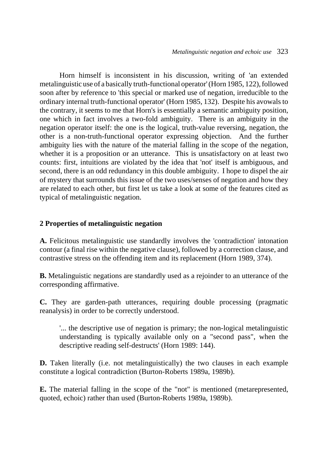Horn himself is inconsistent in his discussion, writing of 'an extended metalinguistic use of a basically truth-functional operator' (Horn 1985, 122), followed soon after by reference to 'this special or marked use of negation, irreducible to the ordinary internal truth-functional operator' (Horn 1985, 132). Despite his avowals to the contrary, it seems to me that Horn's is essentially a semantic ambiguity position, one which in fact involves a two-fold ambiguity. There is an ambiguity in the negation operator itself: the one is the logical, truth-value reversing, negation, the other is a non-truth-functional operator expressing objection. And the further ambiguity lies with the nature of the material falling in the scope of the negation, whether it is a proposition or an utterance. This is unsatisfactory on at least two counts: first, intuitions are violated by the idea that 'not' itself is ambiguous, and second, there is an odd redundancy in this double ambiguity. I hope to dispel the air of mystery that surrounds this issue of the two uses/senses of negation and how they are related to each other, but first let us take a look at some of the features cited as typical of metalinguistic negation.

# **2 Properties of metalinguistic negation**

**A.** Felicitous metalinguistic use standardly involves the 'contradiction' intonation contour (a final rise within the negative clause), followed by a correction clause, and contrastive stress on the offending item and its replacement (Horn 1989, 374).

**B.** Metalinguistic negations are standardly used as a rejoinder to an utterance of the corresponding affirmative.

**C.** They are garden-path utterances, requiring double processing (pragmatic reanalysis) in order to be correctly understood.

'... the descriptive use of negation is primary; the non-logical metalinguistic understanding is typically available only on a "second pass", when the descriptive reading self-destructs' (Horn 1989: 144).

**D.** Taken literally (i.e. not metalinguistically) the two clauses in each example constitute a logical contradiction (Burton-Roberts 1989a, 1989b).

**E.** The material falling in the scope of the "not" is mentioned (metarepresented, quoted, echoic) rather than used (Burton-Roberts 1989a, 1989b).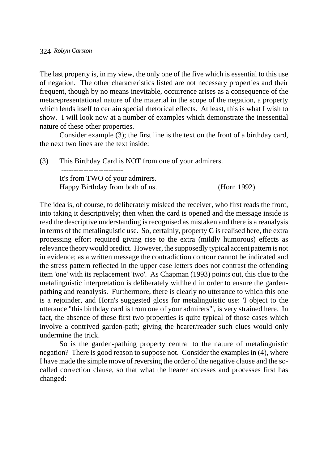The last property is, in my view, the only one of the five which is essential to this use of negation. The other characteristics listed are not necessary properties and their frequent, though by no means inevitable, occurrence arises as a consequence of the metarepresentational nature of the material in the scope of the negation, a property which lends itself to certain special rhetorical effects. At least, this is what I wish to show. I will look now at a number of examples which demonstrate the inessential nature of these other properties.

Consider example (3); the first line is the text on the front of a birthday card, the next two lines are the text inside:

(3) This Birthday Card is NOT from one of your admirers. ------------------------- It's from TWO of your admirers. Happy Birthday from both of us. (Horn 1992)

The idea is, of course, to deliberately mislead the receiver, who first reads the front, into taking it descriptively; then when the card is opened and the message inside is read the descriptive understanding is recognised as mistaken and there is a reanalysis in terms of the metalinguistic use. So, certainly, property **C** is realised here, the extra processing effort required giving rise to the extra (mildly humorous) effects as relevance theory would predict. However, the supposedly typical accent pattern is not in evidence; as a written message the contradiction contour cannot be indicated and the stress pattern reflected in the upper case letters does not contrast the offending item 'one' with its replacement 'two'. As Chapman (1993) points out, this clue to the metalinguistic interpretation is deliberately withheld in order to ensure the gardenpathing and reanalysis. Furthermore, there is clearly no utterance to which this one is a rejoinder, and Horn's suggested gloss for metalinguistic use: 'I object to the utterance "this birthday card is from one of your admirers"', is very strained here. In fact, the absence of these first two properties is quite typical of those cases which involve a contrived garden-path; giving the hearer/reader such clues would only undermine the trick.

So is the garden-pathing property central to the nature of metalinguistic negation? There is good reason to suppose not. Consider the examples in (4), where I have made the simple move of reversing the order of the negative clause and the socalled correction clause, so that what the hearer accesses and processes first has changed: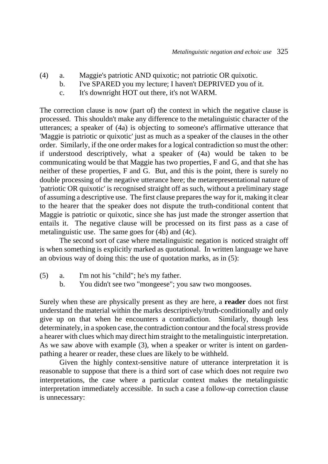- (4) a. Maggie's patriotic AND quixotic; not patriotic OR quixotic.
	- b. I've SPARED you my lecture; I haven't DEPRIVED you of it.
		- c. It's downright HOT out there, it's not WARM.

The correction clause is now (part of) the context in which the negative clause is processed. This shouldn't make any difference to the metalinguistic character of the utterances; a speaker of (4a) is objecting to someone's affirmative utterance that 'Maggie is patriotic or quixotic' just as much as a speaker of the clauses in the other order. Similarly, if the one order makes for a logical contradiction so must the other: if understood descriptively, what a speaker of (4a) would be taken to be communicating would be that Maggie has two properties, F and G, and that she has neither of these properties, F and G. But, and this is the point, there is surely no double processing of the negative utterance here; the metarepresentational nature of 'patriotic OR quixotic' is recognised straight off as such, without a preliminary stage of assuming a descriptive use. The first clause prepares the way for it, making it clear to the hearer that the speaker does not dispute the truth-conditional content that Maggie is patriotic or quixotic, since she has just made the stronger assertion that entails it. The negative clause will be processed on its first pass as a case of metalinguistic use. The same goes for (4b) and (4c).

The second sort of case where metalinguistic negation is noticed straight off is when something is explicitly marked as quotational. In written language we have an obvious way of doing this: the use of quotation marks, as in (5):

- (5) a. I'm not his "child"; he's my father.
	- b. You didn't see two "mongeese"; you saw two mongooses.

Surely when these are physically present as they are here, a **reader** does not first understand the material within the marks descriptively/truth-conditionally and only give up on that when he encounters a contradiction. Similarly, though less determinately, in a spoken case, the contradiction contour and the focal stress provide a hearer with clues which may direct him straight to the metalinguistic interpretation. As we saw above with example (3), when a speaker or writer is intent on gardenpathing a hearer or reader, these clues are likely to be withheld.

Given the highly context-sensitive nature of utterance interpretation it is reasonable to suppose that there is a third sort of case which does not require two interpretations, the case where a particular context makes the metalinguistic interpretation immediately accessible. In such a case a follow-up correction clause is unnecessary: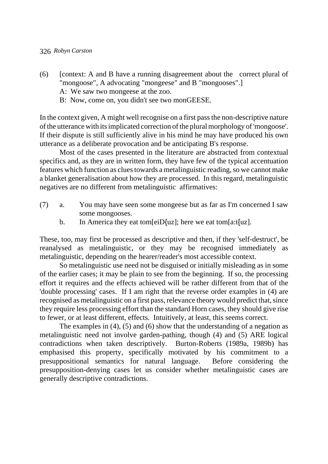- (6) [context: A and B have a running disagreement about the correct plural of "mongoose", A advocating "mongeese" and B "mongooses".] A: We saw two mongeese at the zoo.
	- B: Now, come on, you didn't see two monGEESE.

In the context given, A might well recognise on a first pass the non-descriptive nature of the utterance with its implicated correction of the plural morphology of 'mongoose'. If their dispute is still sufficiently alive in his mind he may have produced his own utterance as a deliberate provocation and be anticipating B's response.

Most of the cases presented in the literature are abstracted from contextual specifics and, as they are in written form, they have few of the typical accentuation features which function as clues towards a metalinguistic reading, so we cannot make a blanket generalisation about how they are processed. In this regard, metalinguistic negatives are no different from metalinguistic affirmatives:

- (7) a. You may have seen some mongeese but as far as I'm concerned I saw some mongooses.
	- b. In America they eat tom[eiD{uz]; here we eat tom[a:t{uz].

These, too, may first be processed as descriptive and then, if they 'self-destruct', be reanalysed as metalinguistic, or they may be recognised immediately as metalinguistic, depending on the hearer/reader's most accessible context.

So metalinguistic use need not be disguised or initially misleading as in some of the earlier cases; it may be plain to see from the beginning. If so, the processing effort it requires and the effects achieved will be rather different from that of the 'double processing' cases. If I am right that the reverse order examples in (4) are recognised as metalinguistic on a first pass, relevance theory would predict that, since they require less processing effort than the standard Horn cases, they should give rise to fewer, or at least different, effects. Intuitively, at least, this seems correct.

The examples in (4), (5) and (6) show that the understanding of a negation as metalinguistic need not involve garden-pathing, though (4) and (5) ARE logical contradictions when taken descriptively. Burton-Roberts (1989a, 1989b) has emphasised this property, specifically motivated by his commitment to a presuppositional semantics for natural language. Before considering the presupposition-denying cases let us consider whether metalinguistic cases are generally descriptive contradictions.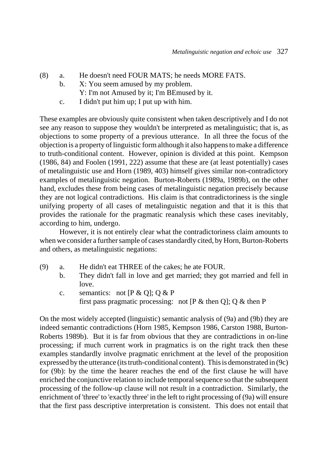- (8) a. He doesn't need FOUR MATS; he needs MORE FATS.
	- b. X: You seem amused by my problem.
		- Y: I'm not Amused by it; I'm BEmused by it.
	- c. I didn't put him up; I put up with him.

These examples are obviously quite consistent when taken descriptively and I do not see any reason to suppose they wouldn't be interpreted as metalinguistic; that is, as objections to some property of a previous utterance. In all three the focus of the objection is a property of linguistic form although it also happens to make a difference to truth-conditional content. However, opinion is divided at this point. Kempson (1986, 84) and Foolen (1991, 222) assume that these are (at least potentially) cases of metalinguistic use and Horn (1989, 403) himself gives similar non-contradictory examples of metalinguistic negation. Burton-Roberts (1989a, 1989b), on the other hand, excludes these from being cases of metalinguistic negation precisely because they are not logical contradictions. His claim is that contradictoriness is the single unifying property of all cases of metalinguistic negation and that it is this that provides the rationale for the pragmatic reanalysis which these cases inevitably, according to him, undergo.

However, it is not entirely clear what the contradictoriness claim amounts to when we consider a further sample of cases standardly cited, by Horn, Burton-Roberts and others, as metalinguistic negations:

- (9) a. He didn't eat THREE of the cakes; he ate FOUR.
	- b. They didn't fall in love and get married; they got married and fell in love.
	- c. semantics: not  $[P & Q]$ ; Q & P first pass pragmatic processing: not  $[P \& then Q]$ ; Q  $\&$  then P

On the most widely accepted (linguistic) semantic analysis of (9a) and (9b) they are indeed semantic contradictions (Horn 1985, Kempson 1986, Carston 1988, Burton-Roberts 1989b). But it is far from obvious that they are contradictions in on-line processing; if much current work in pragmatics is on the right track then these examples standardly involve pragmatic enrichment at the level of the proposition expressed by the utterance (its truth-conditional content). This is demonstrated in (9c) for (9b): by the time the hearer reaches the end of the first clause he will have enriched the conjunctive relation to include temporal sequence so that the subsequent processing of the follow-up clause will not result in a contradiction. Similarly, the enrichment of 'three' to 'exactly three' in the left to right processing of (9a) will ensure that the first pass descriptive interpretation is consistent. This does not entail that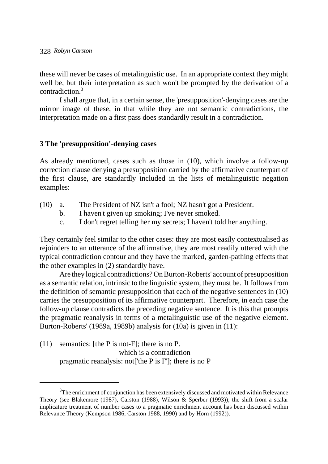these will never be cases of metalinguistic use. In an appropriate context they might well be, but their interpretation as such won't be prompted by the derivation of a contradiction<sup>3</sup>

I shall argue that, in a certain sense, the 'presupposition'-denying cases are the mirror image of these, in that while they are not semantic contradictions, the interpretation made on a first pass does standardly result in a contradiction.

### **3 The 'presupposition'-denying cases**

As already mentioned, cases such as those in (10), which involve a follow-up correction clause denying a presupposition carried by the affirmative counterpart of the first clause, are standardly included in the lists of metalinguistic negation examples:

- (10) a. The President of NZ isn't a fool; NZ hasn't got a President.
	- b. I haven't given up smoking; I've never smoked.
	- c. I don't regret telling her my secrets; I haven't told her anything.

They certainly feel similar to the other cases: they are most easily contextualised as rejoinders to an utterance of the affirmative, they are most readily uttered with the typical contradiction contour and they have the marked, garden-pathing effects that the other examples in (2) standardly have.

Are they logical contradictions? On Burton-Roberts' account of presupposition as a semantic relation, intrinsic to the linguistic system, they must be. It follows from the definition of semantic presupposition that each of the negative sentences in (10) carries the presupposition of its affirmative counterpart. Therefore, in each case the follow-up clause contradicts the preceding negative sentence. It is this that prompts the pragmatic reanalysis in terms of a metalinguistic use of the negative element. Burton-Roberts' (1989a, 1989b) analysis for (10a) is given in (11):

(11) semantics: [the P is not-F]; there is no P. which is a contradiction pragmatic reanalysis: not['the P is F']; there is no P

 $3$ The enrichment of conjunction has been extensively discussed and motivated within Relevance Theory (see Blakemore (1987), Carston (1988), Wilson & Sperber (1993)); the shift from a scalar implicature treatment of number cases to a pragmatic enrichment account has been discussed within Relevance Theory (Kempson 1986, Carston 1988, 1990) and by Horn (1992)).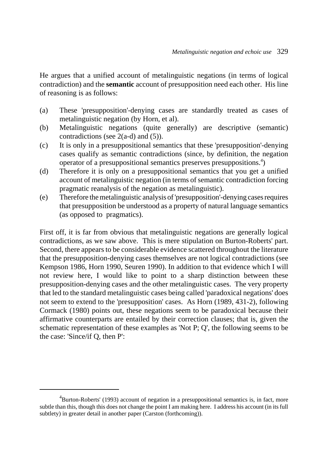He argues that a unified account of metalinguistic negations (in terms of logical contradiction) and the **semantic** account of presupposition need each other. His line of reasoning is as follows:

- (a) These 'presupposition'-denying cases are standardly treated as cases of metalinguistic negation (by Horn, et al).
- (b) Metalinguistic negations (quite generally) are descriptive (semantic) contradictions (see 2(a-d) and (5)).
- (c) It is only in a presuppositional semantics that these 'presupposition'-denying cases qualify as semantic contradictions (since, by definition, the negation operator of a presuppositional semantics preserves presuppositions.<sup>4</sup>)
- (d) Therefore it is only on a presuppositional semantics that you get a unified account of metalinguistic negation (in terms of semantic contradiction forcing pragmatic reanalysis of the negation as metalinguistic).
- (e) Therefore the metalinguistic analysis of 'presupposition'-denying cases requires that presupposition be understood as a property of natural language semantics (as opposed to pragmatics).

First off, it is far from obvious that metalinguistic negations are generally logical contradictions, as we saw above. This is mere stipulation on Burton-Roberts' part. Second, there appears to be considerable evidence scattered throughout the literature that the presupposition-denying cases themselves are not logical contradictions (see Kempson 1986, Horn 1990, Seuren 1990). In addition to that evidence which I will not review here, I would like to point to a sharp distinction between these presupposition-denying cases and the other metalinguistic cases. The very property that led to the standard metalinguistic cases being called 'paradoxical negations' does not seem to extend to the 'presupposition' cases. As Horn (1989, 431-2), following Cormack (1980) points out, these negations seem to be paradoxical because their affirmative counterparts are entailed by their correction clauses; that is, given the schematic representation of these examples as 'Not P; Q', the following seems to be the case: 'Since/if Q, then P':

<sup>&</sup>lt;sup>4</sup>Burton-Roberts' (1993) account of negation in a presuppositional semantics is, in fact, more subtle than this, though this does not change the point I am making here. I address his account (in its full subtlety) in greater detail in another paper (Carston (forthcoming)).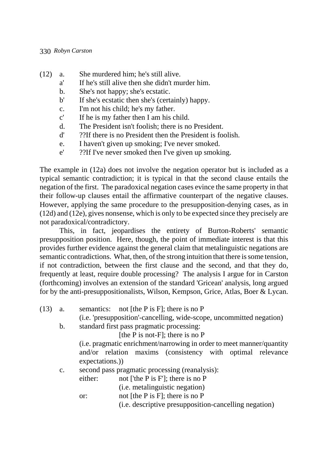- (12) a. She murdered him; he's still alive.
	- a' If he's still alive then she didn't murder him.
	- b. She's not happy; she's ecstatic.
	- b' If she's ecstatic then she's (certainly) happy.
	- c. I'm not his child; he's my father.
	- c' If he is my father then I am his child.
	- d. The President isn't foolish; there is no President.
	- d' ??If there is no President then the President is foolish.
	- e. I haven't given up smoking; I've never smoked.
	- e' ??If I've never smoked then I've given up smoking.

The example in (12a) does not involve the negation operator but is included as a typical semantic contradiction; it is typical in that the second clause entails the negation of the first. The paradoxical negation cases evince the same property in that their follow-up clauses entail the affirmative counterpart of the negative clauses. However, applying the same procedure to the presupposition-denying cases, as in (12d) and (12e), gives nonsense, which is only to be expected since they precisely are not paradoxical/contradictory.

This, in fact, jeopardises the entirety of Burton-Roberts' semantic presupposition position. Here, though, the point of immediate interest is that this provides further evidence against the general claim that metalinguistic negations are semantic contradictions. What, then, of the strong intuition that there is some tension, if not contradiction, between the first clause and the second, and that they do, frequently at least, require double processing? The analysis I argue for in Carston (forthcoming) involves an extension of the standard 'Gricean' analysis, long argued for by the anti-presuppositionalists, Wilson, Kempson, Grice, Atlas, Boer & Lycan.

- (13) a. semantics: not [the P is F]; there is no P
	- (i.e. 'presupposition'-cancelling, wide-scope, uncommitted negation)

b. standard first pass pragmatic processing:

[the  $P$  is not- $F$ ]; there is no  $P$ 

(i.e. pragmatic enrichment/narrowing in order to meet manner/quantity and/or relation maxims (consistency with optimal relevance expectations.))

- c. second pass pragmatic processing (reanalysis):
	- either: not ['the P is F']; there is no P (i.e. metalinguistic negation)

or: not [the P is F]; there is no P

(i.e. descriptive presupposition-cancelling negation)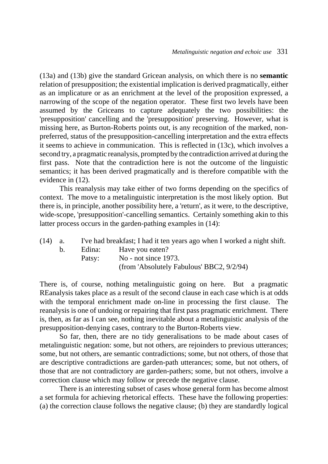(13a) and (13b) give the standard Gricean analysis, on which there is no **semantic** relation of presupposition; the existential implication is derived pragmatically, either as an implicature or as an enrichment at the level of the proposition expressed, a narrowing of the scope of the negation operator. These first two levels have been assumed by the Griceans to capture adequately the two possibilities: the 'presupposition' cancelling and the 'presupposition' preserving. However, what is missing here, as Burton-Roberts points out, is any recognition of the marked, nonpreferred, status of the presupposition-cancelling interpretation and the extra effects it seems to achieve in communication. This is reflected in (13c), which involves a second try, a pragmatic reanalysis, prompted by the contradiction arrived at during the first pass. Note that the contradiction here is not the outcome of the linguistic semantics; it has been derived pragmatically and is therefore compatible with the evidence in (12).

This reanalysis may take either of two forms depending on the specifics of context. The move to a metalinguistic interpretation is the most likely option. But there is, in principle, another possibility here, a 'return', as it were, to the descriptive, wide-scope, 'presupposition'-cancelling semantics. Certainly something akin to this latter process occurs in the garden-pathing examples in (14):

| $(14)$ a. |                | I've had breakfast; I had it ten years ago when I worked a night shift. |                                           |
|-----------|----------------|-------------------------------------------------------------------------|-------------------------------------------|
|           | $\mathsf{b}$ . | Edina:                                                                  | Have you eaten?                           |
|           |                | Patsy:                                                                  | No - not since $1973$ .                   |
|           |                |                                                                         | (from 'Absolutely Fabulous' BBC2, 9/2/94) |
|           |                |                                                                         |                                           |

There is, of course, nothing metalinguistic going on here. But a pragmatic REanalysis takes place as a result of the second clause in each case which is at odds with the temporal enrichment made on-line in processing the first clause. The reanalysis is one of undoing or repairing that first pass pragmatic enrichment. There is, then, as far as I can see, nothing inevitable about a metalinguistic analysis of the presupposition-denying cases, contrary to the Burton-Roberts view.

So far, then, there are no tidy generalisations to be made about cases of metalinguistic negation: some, but not others, are rejoinders to previous utterances; some, but not others, are semantic contradictions; some, but not others, of those that are descriptive contradictions are garden-path utterances; some, but not others, of those that are not contradictory are garden-pathers; some, but not others, involve a correction clause which may follow or precede the negative clause.

There is an interesting subset of cases whose general form has become almost a set formula for achieving rhetorical effects. These have the following properties: (a) the correction clause follows the negative clause; (b) they are standardly logical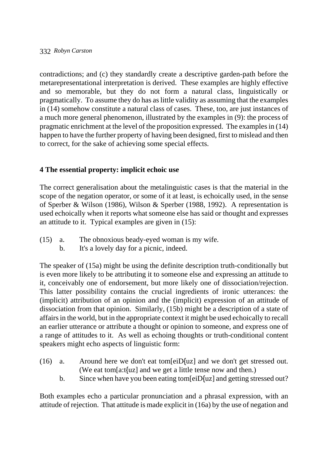contradictions; and (c) they standardly create a descriptive garden-path before the metarepresentational interpretation is derived. These examples are highly effective and so memorable, but they do not form a natural class, linguistically or pragmatically. To assume they do has as little validity as assuming that the examples in (14) somehow constitute a natural class of cases. These, too, are just instances of a much more general phenomenon, illustrated by the examples in (9): the process of pragmatic enrichment at the level of the proposition expressed. The examples in (14) happen to have the further property of having been designed, first to mislead and then to correct, for the sake of achieving some special effects.

# **4 The essential property: implicit echoic use**

The correct generalisation about the metalinguistic cases is that the material in the scope of the negation operator, or some of it at least, is echoically used, in the sense of Sperber & Wilson (1986), Wilson & Sperber (1988, 1992). A representation is used echoically when it reports what someone else has said or thought and expresses an attitude to it. Typical examples are given in (15):

- (15) a. The obnoxious beady-eyed woman is my wife.
	- b. It's a lovely day for a picnic, indeed.

The speaker of (15a) might be using the definite description truth-conditionally but is even more likely to be attributing it to someone else and expressing an attitude to it, conceivably one of endorsement, but more likely one of dissociation/rejection. This latter possibility contains the crucial ingredients of ironic utterances: the (implicit) attribution of an opinion and the (implicit) expression of an attitude of dissociation from that opinion. Similarly, (15b) might be a description of a state of affairs in the world, but in the appropriate context it might be used echoically to recall an earlier utterance or attribute a thought or opinion to someone, and express one of a range of attitudes to it. As well as echoing thoughts or truth-conditional content speakers might echo aspects of linguistic form:

- (16) a. Around here we don't eat tom[eiD{uz] and we don't get stressed out. (We eat tom[a:t{uz] and we get a little tense now and then.)
	- b. Since when have you been eating tom[eiD{uz] and getting stressed out?

Both examples echo a particular pronunciation and a phrasal expression, with an attitude of rejection. That attitude is made explicit in (16a) by the use of negation and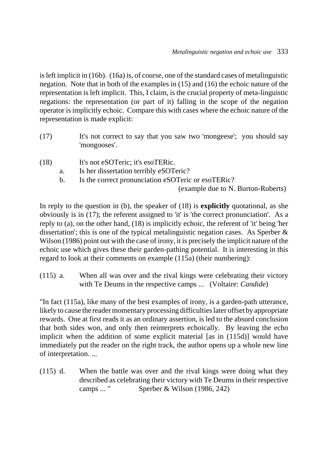is left implicit in (16b). (16a) is, of course, one of the standard cases of metalinguistic negation. Note that in both of the examples in (15) and (16) the echoic nature of the representation is left implicit. This, I claim, is the crucial property of meta-linguistic negations: the representation (or part of it) falling in the scope of the negation operator is implicitly echoic. Compare this with cases where the echoic nature of the representation is made explicit:

- (17) It's not correct to say that you saw two 'mongeese'; you should say 'mongooses'.
- (18) It's not eSOTeric; it's esoTERic.
	- a. Is her dissertation terribly eSOTeric?
	- b. Is the correct pronunciation eSOTeric or esoTERic?

(example due to N. Burton-Roberts)

In reply to the question in (b), the speaker of (18) is **explicitly** quotational, as she obviously is in (17); the referent assigned to 'it' is 'the correct pronunciation'. As a reply to (a), on the other hand, (18) is implicitly echoic, the referent of 'it' being 'her dissertation'; this is one of the typical metalinguistic negation cases. As Sperber & Wilson (1986) point out with the case of irony, it is precisely the implicit nature of the echoic use which gives these their garden-pathing potential. It is interesting in this regard to look at their comments on example (115a) (their numbering):

(115) a. When all was over and the rival kings were celebrating their victory with Te Deums in the respective camps ... (Voltaire: *Candide*)

"In fact (115a), like many of the best examples of irony, is a garden-path utterance, likely to cause the reader momentary processing difficulties later offset by appropriate rewards. One at first reads it as an ordinary assertion, is led to the absurd conclusion that both sides won, and only then reinterprets echoically. By leaving the echo implicit when the addition of some explicit material [as in (115d)] would have immediately put the reader on the right track, the author opens up a whole new line of interpretation. ...

(115) d. When the battle was over and the rival kings were doing what they described as celebrating their victory with Te Deums in their respective camps ... " Sperber & Wilson (1986, 242)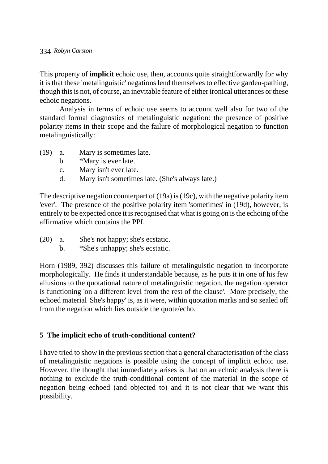This property of **implicit** echoic use, then, accounts quite straightforwardly for why it is that these 'metalinguistic' negations lend themselves to effective garden-pathing, though this is not, of course, an inevitable feature of either ironical utterances or these echoic negations.

Analysis in terms of echoic use seems to account well also for two of the standard formal diagnostics of metalinguistic negation: the presence of positive polarity items in their scope and the failure of morphological negation to function metalinguistically:

- (19) a. Mary is sometimes late.
	- b. \*Mary is ever late.
	- c. Mary isn't ever late.
	- d. Mary isn't sometimes late. (She's always late.)

The descriptive negation counterpart of (19a) is (19c), with the negative polarity item 'ever'. The presence of the positive polarity item 'sometimes' in (19d), however, is entirely to be expected once it is recognised that what is going on is the echoing of the affirmative which contains the PPI.

- (20) a. She's not happy; she's ecstatic.
	- b. \*She's unhappy; she's ecstatic.

Horn (1989, 392) discusses this failure of metalinguistic negation to incorporate morphologically. He finds it understandable because, as he puts it in one of his few allusions to the quotational nature of metalinguistic negation, the negation operator is functioning 'on a different level from the rest of the clause'. More precisely, the echoed material 'She's happy' is, as it were, within quotation marks and so sealed off from the negation which lies outside the quote/echo.

## **5 The implicit echo of truth-conditional content?**

I have tried to show in the previous section that a general characterisation of the class of metalinguistic negations is possible using the concept of implicit echoic use. However, the thought that immediately arises is that on an echoic analysis there is nothing to exclude the truth-conditional content of the material in the scope of negation being echoed (and objected to) and it is not clear that we want this possibility.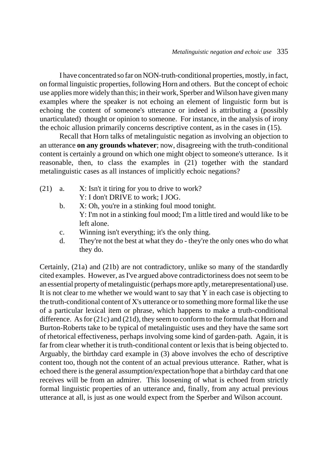I have concentrated so far on NON-truth-conditional properties, mostly, in fact, on formal linguistic properties, following Horn and others. But the concept of echoic use applies more widely than this; in their work, Sperber and Wilson have given many examples where the speaker is not echoing an element of linguistic form but is echoing the content of someone's utterance or indeed is attributing a (possibly unarticulated) thought or opinion to someone. For instance, in the analysis of irony the echoic allusion primarily concerns descriptive content, as in the cases in (15).

Recall that Horn talks of metalinguistic negation as involving an objection to an utterance **on any grounds whatever**; now, disagreeing with the truth-conditional content is certainly a ground on which one might object to someone's utterance. Is it reasonable, then, to class the examples in (21) together with the standard metalinguistic cases as all instances of implicitly echoic negations?

- (21) a.  $X:$  Isn't it tiring for you to drive to work? Y: I don't DRIVE to work; I JOG.
	- b. X: Oh, you're in a stinking foul mood tonight. Y: I'm not in a stinking foul mood; I'm a little tired and would like to be left alone.
	- c. Winning isn't everything; it's the only thing.
	- d. They're not the best at what they do they're the only ones who do what they do.

Certainly, (21a) and (21b) are not contradictory, unlike so many of the standardly cited examples. However, as I've argued above contradictoriness does not seem to be an essential property of metalinguistic (perhaps more aptly, metarepresentational) use. It is not clear to me whether we would want to say that Y in each case is objecting to the truth-conditional content of X's utterance or to something more formal like the use of a particular lexical item or phrase, which happens to make a truth-conditional difference. As for (21c) and (21d), they seem to conform to the formula that Horn and Burton-Roberts take to be typical of metalinguistic uses and they have the same sort of rhetorical effectiveness, perhaps involving some kind of garden-path. Again, it is far from clear whether it is truth-conditional content or lexis that is being objected to. Arguably, the birthday card example in (3) above involves the echo of descriptive content too, though not the content of an actual previous utterance. Rather, what is echoed there is the general assumption/expectation/hope that a birthday card that one receives will be from an admirer. This loosening of what is echoed from strictly formal linguistic properties of an utterance and, finally, from any actual previous utterance at all, is just as one would expect from the Sperber and Wilson account.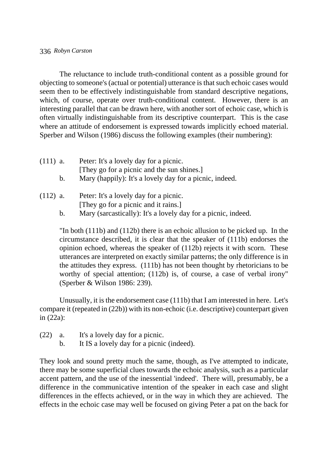The reluctance to include truth-conditional content as a possible ground for objecting to someone's (actual or potential) utterance is that such echoic cases would seem then to be effectively indistinguishable from standard descriptive negations, which, of course, operate over truth-conditional content. However, there is an interesting parallel that can be drawn here, with another sort of echoic case, which is often virtually indistinguishable from its descriptive counterpart. This is the case where an attitude of endorsement is expressed towards implicitly echoed material. Sperber and Wilson (1986) discuss the following examples (their numbering):

- (111) a. Peter: It's a lovely day for a picnic. [They go for a picnic and the sun shines.]
	- b. Mary (happily): It's a lovely day for a picnic, indeed.
- (112) a. Peter: It's a lovely day for a picnic. [They go for a picnic and it rains.]
	- b. Mary (sarcastically): It's a lovely day for a picnic, indeed.

"In both (111b) and (112b) there is an echoic allusion to be picked up. In the circumstance described, it is clear that the speaker of (111b) endorses the opinion echoed, whereas the speaker of (112b) rejects it with scorn. These utterances are interpreted on exactly similar patterns; the only difference is in the attitudes they express. (111b) has not been thought by rhetoricians to be worthy of special attention; (112b) is, of course, a case of verbal irony" (Sperber & Wilson 1986: 239).

Unusually, it is the endorsement case (111b) that I am interested in here. Let's compare it (repeated in (22b)) with its non-echoic (i.e. descriptive) counterpart given in (22a):

- (22) a. It's a lovely day for a picnic.
	- b. It IS a lovely day for a picnic (indeed).

They look and sound pretty much the same, though, as I've attempted to indicate, there may be some superficial clues towards the echoic analysis, such as a particular accent pattern, and the use of the inessential 'indeed'. There will, presumably, be a difference in the communicative intention of the speaker in each case and slight differences in the effects achieved, or in the way in which they are achieved. The effects in the echoic case may well be focused on giving Peter a pat on the back for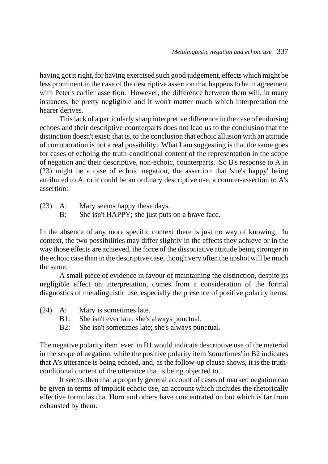having got it right, for having exercised such good judgement, effects which might be less prominent in the case of the descriptive assertion that happens to be in agreement with Peter's earlier assertion. However, the difference between them will, in many instances, be pretty negligible and it won't matter much which interpretation the hearer derives.

This lack of a particularly sharp interpretive difference in the case of endorsing echoes and their descriptive counterparts does not lead us to the conclusion that the distinction doesn't exist; that is, to the conclusion that echoic allusion with an attitude of corroboration is not a real possibility. What I am suggesting is that the same goes for cases of echoing the truth-conditional content of the representation in the scope of negation and their descriptive, non-echoic, counterparts. So B's response to A in (23) might be a case of echoic negation, the assertion that 'she's happy' being attributed to A, or it could be an ordinary descriptive use, a counter-assertion to A's assertion:

- (23) A: Mary seems happy these days.
	- B: She isn't HAPPY; she just puts on a brave face.

In the absence of any more specific context there is just no way of knowing. In context, the two possibilities may differ slightly in the effects they achieve or in the way those effects are achieved, the force of the dissociative attitude being stronger in the echoic case than in the descriptive case, though very often the upshot will be much the same.

A small piece of evidence in favour of maintaining the distinction, despite its negligible effect on interpretation, comes from a consideration of the formal diagnostics of metalinguistic use, especially the presence of positive polarity items:

- (24) A: Mary is sometimes late.
	- B1: She isn't ever late; she's always punctual.
	- B2: She isn't sometimes late; she's always punctual.

The negative polarity item 'ever' in B1 would indicate descriptive use of the material in the scope of negation, while the positive polarity item 'sometimes' in B2 indicates that A's utterance is being echoed, and, as the follow-up clause shows, it is the truthconditional content of the utterance that is being objected to.

It seems then that a properly general account of cases of marked negation can be given in terms of implicit echoic use, an account which includes the rhetorically effective formulas that Horn and others have concentrated on but which is far from exhausted by them.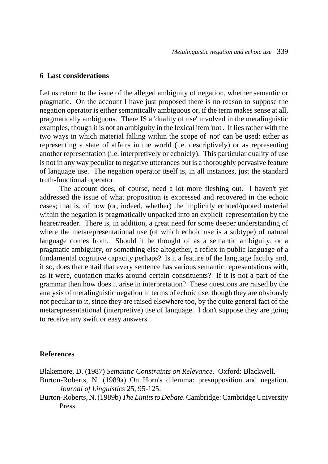#### **6 Last considerations**

Let us return to the issue of the alleged ambiguity of negation, whether semantic or pragmatic. On the account I have just proposed there is no reason to suppose the negation operator is either semantically ambiguous or, if the term makes sense at all, pragmatically ambiguous. There IS a 'duality of use' involved in the metalinguistic examples, though it is not an ambiguity in the lexical item 'not'. It lies rather with the two ways in which material falling within the scope of 'not' can be used: either as representing a state of affairs in the world (i.e. descriptively) or as representing another representation (i.e. interpretively or echoicly). This particular duality of use is not in any way peculiar to negative utterances but is a thoroughly pervasive feature of language use. The negation operator itself is, in all instances, just the standard truth-functional operator.

The account does, of course, need a lot more fleshing out. I haven't yet addressed the issue of what proposition is expressed and recovered in the echoic cases; that is, of how (or, indeed, whether) the implicitly echoed/quoted material within the negation is pragmatically unpacked into an explicit representation by the hearer/reader. There is, in addition, a great need for some deeper understanding of where the metarepresentational use (of which echoic use is a subtype) of natural language comes from. Should it be thought of as a semantic ambiguity, or a pragmatic ambiguity, or something else altogether, a reflex in public language of a fundamental cognitive capacity perhaps? Is it a feature of the language faculty and, if so, does that entail that every sentence has various semantic representations with, as it were, quotation marks around certain constituents? If it is not a part of the grammar then how does it arise in interpretation? These questions are raised by the analysis of metalinguistic negation in terms of echoic use, though they are obviously not peculiar to it, since they are raised elsewhere too, by the quite general fact of the metarepresentational (interpretive) use of language. I don't suppose they are going to receive any swift or easy answers.

#### **References**

Blakemore, D. (1987) *Semantic Constraints on Relevance*. Oxford: Blackwell.

Burton-Roberts, N. (1989a) On Horn's dilemma: presupposition and negation. *Journal of Linguistics* 25, 95-125.

Burton-Roberts, N. (1989b) *The Limits to Debate*. Cambridge: Cambridge University Press.